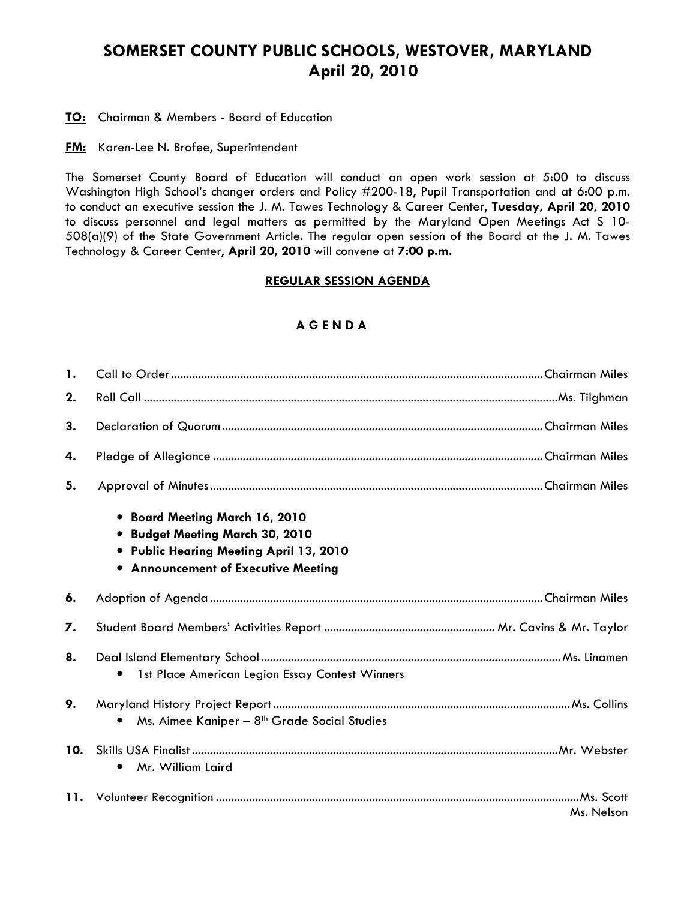# SOMERSET COUNTY PUBLIC SCHOOLS, WESTOVER, MARYLAND April 20, 2010

**TO:** Chairman & Members - Board of Education

**FM:** Karen-Lee N. Brofee, Superintendent

The Somerset County Board of Education will conduct an open work session at 5:00 to discuss Washington High School's changer orders and Policy #200-18, Pupil Transportation and at 6:00 p.m. to conduct an executive session the J. M. Tawes Technology & Career Center, Tuesday, April 20, 2010 to discuss personnel and legal matters as permitted by the Maryland Open Meetings Act S 10- 508(a)(9) of the State Government Article. The regular open session of the Board at the J. M. Tawes Technology & Career Center, April 20, 2010 will convene at 7:00 p.m.

#### REGULAR SESSION AGENDA

### A G E N D A

| <b>1.</b> |                                                                                                                                                          |            |
|-----------|----------------------------------------------------------------------------------------------------------------------------------------------------------|------------|
| 2.        |                                                                                                                                                          |            |
| 3.        |                                                                                                                                                          |            |
| 4.        |                                                                                                                                                          |            |
| 5.        |                                                                                                                                                          |            |
|           | • Board Meeting March 16, 2010<br><b>Budget Meeting March 30, 2010</b><br>• Public Hearing Meeting April 13, 2010<br>• Announcement of Executive Meeting |            |
| 6.        |                                                                                                                                                          |            |
| 7.        |                                                                                                                                                          |            |
| 8.        | 1st Place American Legion Essay Contest Winners                                                                                                          |            |
| 9.        | Ms. Aimee Kaniper - 8 <sup>th</sup> Grade Social Studies<br>$\bullet$                                                                                    |            |
| 10.       | Mr. William Laird<br>$\bullet$                                                                                                                           |            |
|           |                                                                                                                                                          | Ms. Nelson |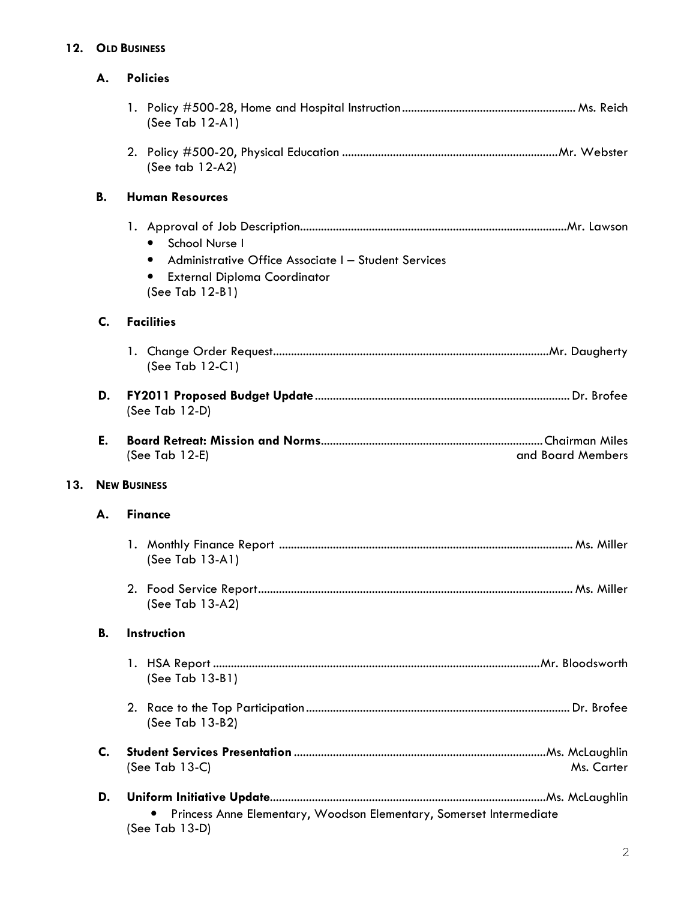## 12. OLD BUSINESS

|     | А.                  | <b>Policies</b>                                                                                                                                            |                   |
|-----|---------------------|------------------------------------------------------------------------------------------------------------------------------------------------------------|-------------------|
|     |                     | (See Tab $12-A1$ )                                                                                                                                         |                   |
|     |                     | (See tab $12-A2$ )                                                                                                                                         |                   |
|     | <b>B.</b>           | <b>Human Resources</b>                                                                                                                                     |                   |
|     |                     | School Nurse I<br>$\bullet$<br>Administrative Office Associate I - Student Services<br><b>External Diploma Coordinator</b><br>$\bullet$<br>(See Tab 12-B1) |                   |
|     | C.                  | <b>Facilities</b>                                                                                                                                          |                   |
|     |                     | (See Tab $12-C1$ )                                                                                                                                         |                   |
|     | D.                  | (See Tab 12-D)                                                                                                                                             |                   |
|     | Е.                  | (See Tab 12-E)                                                                                                                                             | and Board Members |
| 13. | <b>NEW BUSINESS</b> |                                                                                                                                                            |                   |
|     | А.                  | <b>Finance</b>                                                                                                                                             |                   |
|     |                     | (See Tab 13-A1)                                                                                                                                            |                   |
|     |                     | (See Tab 13-A2)                                                                                                                                            |                   |
|     | <b>B.</b>           | Instruction                                                                                                                                                |                   |
|     |                     | (See Tab 13-B1)                                                                                                                                            |                   |
|     |                     | (See Tab 13-B2)                                                                                                                                            |                   |
|     | C.                  | (See Tab 13-C)                                                                                                                                             | Ms. Carter        |
|     | D.                  | Princess Anne Elementary, Woodson Elementary, Somerset Intermediate                                                                                        |                   |